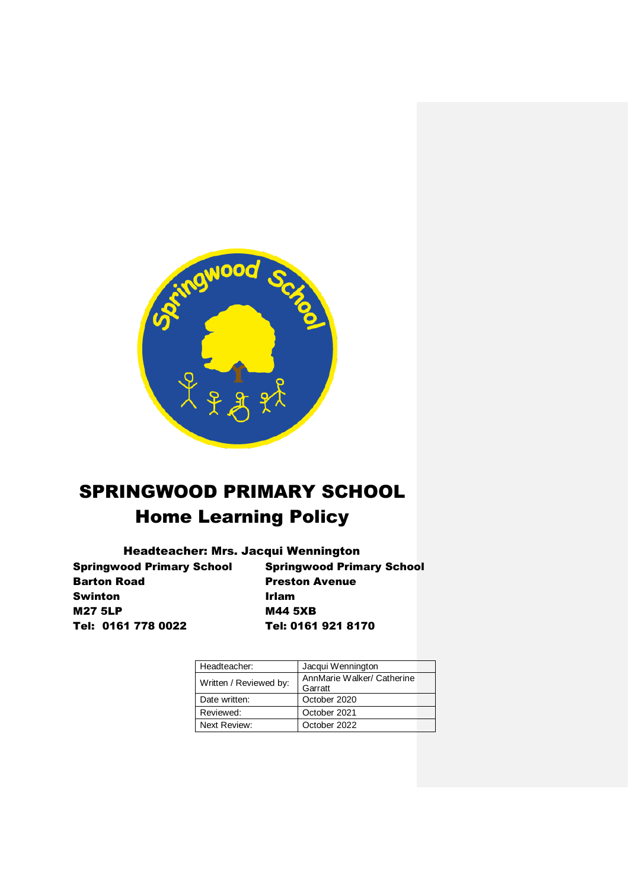

# SPRINGWOOD PRIMARY SCHOOL Home Learning Policy

# Headteacher: Mrs. Jacqui Wennington

Springwood Primary School Springwood Primary School Barton Road Preston Avenue Swinton **Irlam** M27 5LP M44 5XB Tel: 0161 778 0022 Tel: 0161 921 8170

| Headteacher:           | Jacqui Wennington          |  |
|------------------------|----------------------------|--|
| Written / Reviewed by: | AnnMarie Walker/ Catherine |  |
|                        | Garratt                    |  |
| Date written:          | October 2020               |  |
| Reviewed:              | October 2021               |  |
| Next Review:           | October 2022               |  |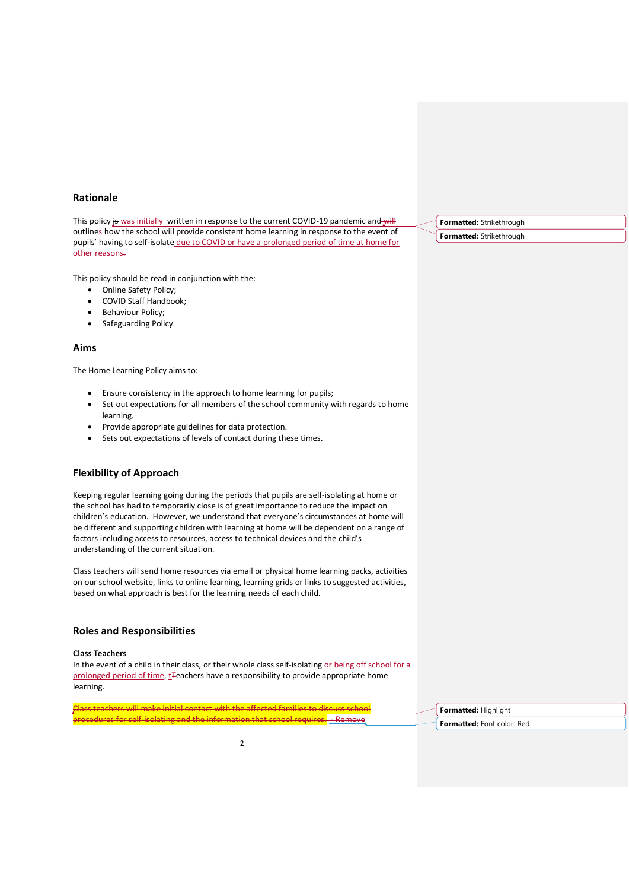# **Rationale**

This policy is was initially written in response to the current COVID-19 pandemic and will outlines how the school will provide consistent home learning in response to the event of pupils' having to self-isolate due to COVID or have a prolonged period of time at home for other reasons.

This policy should be read in conjunction with the:

- Online Safety Policy;
- COVID Staff Handbook;
- Behaviour Policy;
- Safeguarding Policy.

#### **Aims**

The Home Learning Policy aims to:

- Ensure consistency in the approach to home learning for pupils;
- Set out expectations for all members of the school community with regards to home learning.
- Provide appropriate guidelines for data protection.
- Sets out expectations of levels of contact during these times.

# **Flexibility of Approach**

Keeping regular learning going during the periods that pupils are self-isolating at home or the school has had to temporarily close is of great importance to reduce the impact on children's education. However, we understand that everyone's circumstances at home will be different and supporting children with learning at home will be dependent on a range of factors including access to resources, access to technical devices and the child's understanding of the current situation.

Class teachers will send home resources via email or physical home learning packs, activities on our school website, links to online learning, learning grids or links to suggested activities, based on what approach is best for the learning needs of each child.

# **Roles and Responsibilities**

#### **Class Teachers**

In the event of a child in their class, or their whole class self-isolating or being off school for a prolonged period of time, t<sub>reachers</sub> have a responsibility to provide appropriate home learning.

Class teachers will make initial contact with the affected families to discuss school procedures for self-isolating and the information that school requires. - Remove

**Formatted:** Highlight

**Formatted:** Font color: Red

**Formatted:** Strikethrough

**Formatted:** Strikethrough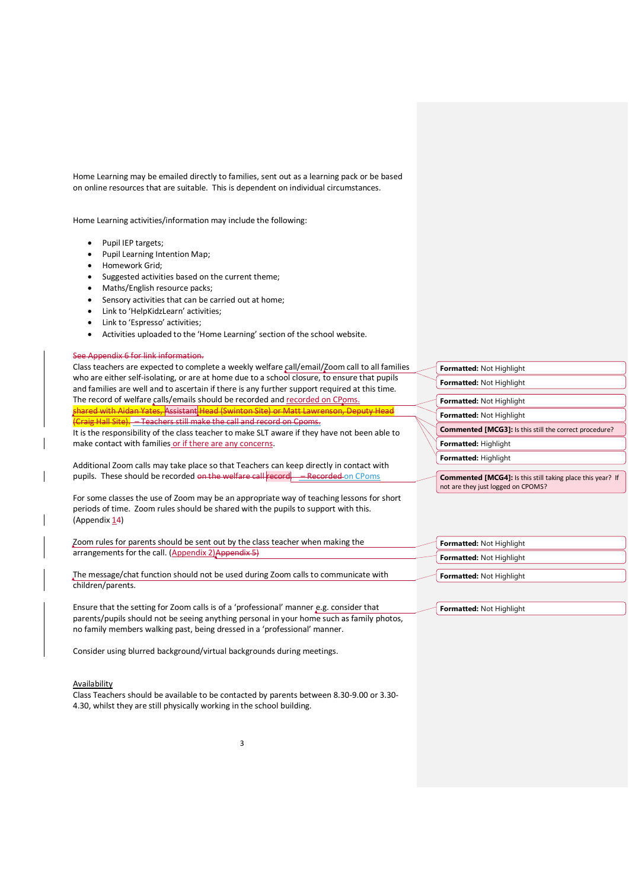Home Learning may be emailed directly to families, sent out as a learning pack or be based on online resources that are suitable. This is dependent on individual circumstances.

Home Learning activities/information may include the following:

- Pupil IEP targets;
- Pupil Learning Intention Map;
- Homework Grid;
- Suggested activities based on the current theme;
- Maths/English resource packs;
- Sensory activities that can be carried out at home;
- Link to 'HelpKidzLearn' activities;
- Link to 'Espresso' activities;
- Activities uploaded to the 'Home Learning' section of the school website.

The record of welfare calls/emails should be recorded and recorded on CPoms. shared with Aidan Yates, Assistant Head (Swinton Site) or Matt Lawrenson, Deputy Head

 $C$ raig Hall Site).  $-$  Teachers still make the call and record on Cpoms.

make contact with families or if there are any concerns.

Class teachers are expected to complete a weekly welfare call/email/Zoom call to all families who are either self-isolating, or are at home due to a school closure, to ensure that pupils and families are well and to ascertain if there is any further support required at this time.

#### See Appendix 6 for link information.

| <b>Formatted: Not Highlight</b>                                                                         |  |  |
|---------------------------------------------------------------------------------------------------------|--|--|
| <b>Formatted: Not Highlight</b>                                                                         |  |  |
|                                                                                                         |  |  |
| <b>Formatted: Not Highlight</b>                                                                         |  |  |
| <b>Formatted: Not Highlight</b>                                                                         |  |  |
| <b>Commented [MCG3]:</b> Is this still the correct procedure?                                           |  |  |
| Formatted: Highlight                                                                                    |  |  |
| Formatted: Highlight                                                                                    |  |  |
|                                                                                                         |  |  |
| <b>Commented [MCG4]:</b> Is this still taking place this year? If<br>not are they just logged on CPOMS? |  |  |

For some classes the use of Zoom may be an appropriate way of teaching lessons for short periods of time. Zoom rules should be shared with the pupils to support with this. (Appendix  $14$ )

It is the responsibility of the class teacher to make SLT aware if they have not been able to

Additional Zoom calls may take place so that Teachers can keep directly in contact with pupils. These should be recorded on the welfare call record. - Recorded on CPoms

Zoom rules for parents should be sent out by the class teacher when making the arrangements for the call. (Appendix 2) Appendix 5)

The message/chat function should not be used during Zoom calls to communicate with children/parents.

Ensure that the setting for Zoom calls is of a 'professional' manner e.g. consider that parents/pupils should not be seeing anything personal in your home such as family photos, no family members walking past, being dressed in a 'professional' manner.

Consider using blurred background/virtual backgrounds during meetings.

#### **Availability**

Class Teachers should be available to be contacted by parents between 8.30-9.00 or 3.30- 4.30, whilst they are still physically working in the school building.

**Formatted:** Not Highlight **Formatted:** Not Highlight **Formatted:** Not Highlight

**Formatted:** Not Highlight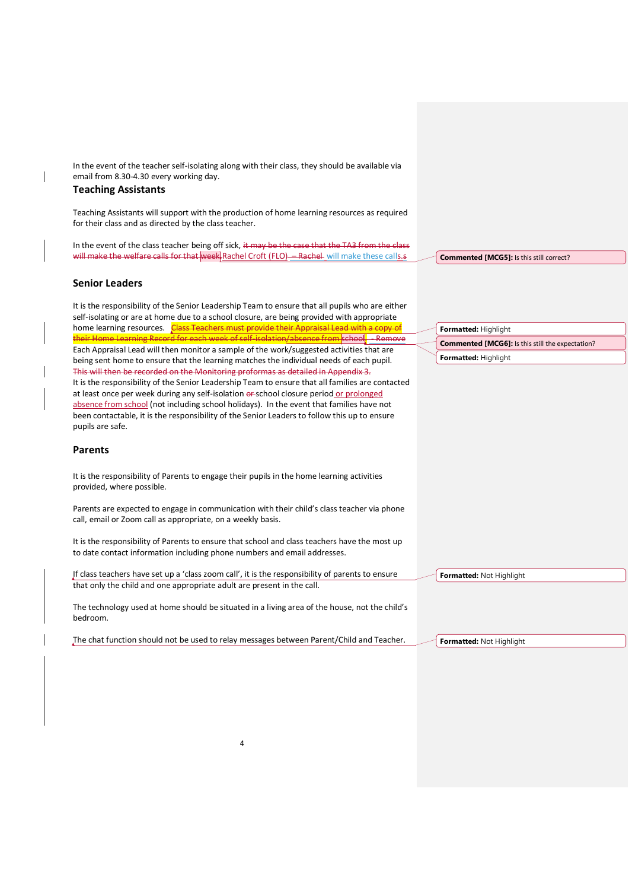In the event of the teacher self-isolating along with their class, they should be available via email from 8.30-4.30 every working day.

# **Teaching Assistants**

Teaching Assistants will support with the production of home learning resources as required for their class and as directed by the class teacher.

In the event of the class teacher being off sick, it may be the case that the TA3 from the class will make the welfare calls for that week Rachel Croft (FLO) - Rachel will make these calls.s

# **Senior Leaders**

It is the responsibility of the Senior Leadership Team to ensure that all pupils who are either self-isolating or are at home due to a school closure, are being provided with appropriate home learning resources. Class Teachers must provide their Appraisal Lead with a copy of their Home Learning Record for each week of self-isolation/absence from school. - Remove Each Appraisal Lead will then monitor a sample of the work/suggested activities that are being sent home to ensure that the learning matches the individual needs of each pupil. This will then be recorded on the Monitoring proformas as detailed in Appendix 3. It is the responsibility of the Senior Leadership Team to ensure that all families are contacted at least once per week during any self-isolation or school closure period or prolonged absence from school (not including school holidays). In the event that families have not been contactable, it is the responsibility of the Senior Leaders to follow this up to ensure pupils are safe.

## **Parents**

It is the responsibility of Parents to engage their pupils in the home learning activities provided, where possible.

Parents are expected to engage in communication with their child's class teacher via phone call, email or Zoom call as appropriate, on a weekly basis.

It is the responsibility of Parents to ensure that school and class teachers have the most up to date contact information including phone numbers and email addresses.

If class teachers have set up a 'class zoom call', it is the responsibility of parents to ensure that only the child and one appropriate adult are present in the call.

The technology used at home should be situated in a living area of the house, not the child's bedroom.

The chat function should not be used to relay messages between Parent/Child and Teacher.

4

**Commented [MCG5]:** Is this still correct?

**Formatted:** Highlight **Commented [MCG6]:** Is this still the expectation? **Formatted:** Highlight

**Formatted:** Not Highlight

**Formatted:** Not Highlight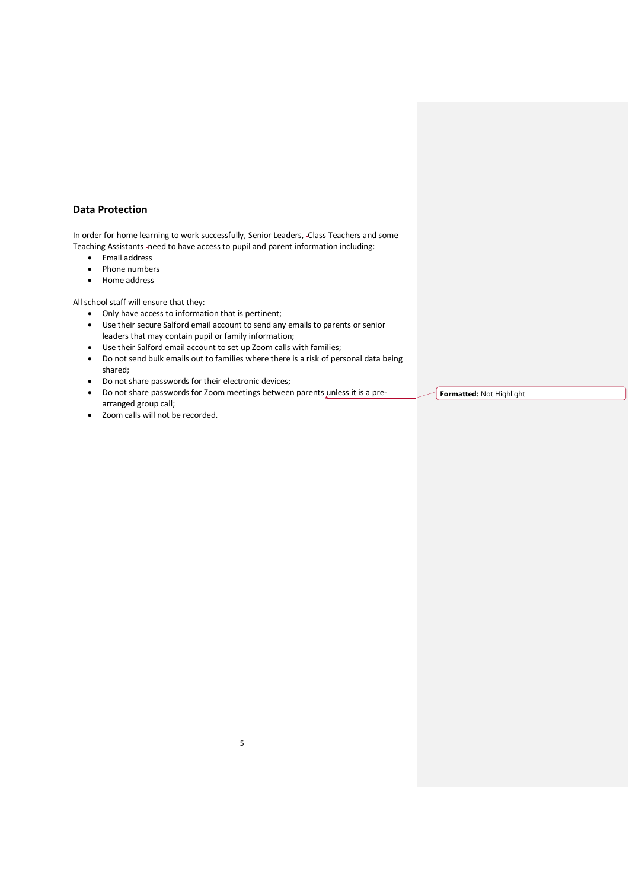# **Data Protection**

In order for home learning to work successfully, Senior Leaders, Class Teachers and some Teaching Assistants -need to have access to pupil and parent information including:

- Email address
- Phone numbers
- Home address

All school staff will ensure that they:

- Only have access to information that is pertinent;
- Use their secure Salford email account to send any emails to parents or senior leaders that may contain pupil or family information;
- Use their Salford email account to set up Zoom calls with families;
- Do not send bulk emails out to families where there is a risk of personal data being shared;
- Do not share passwords for their electronic devices;
- Do not share passwords for Zoom meetings between parents unless it is a prearranged group call;

5

Zoom calls will not be recorded.

**Formatted:** Not Highlight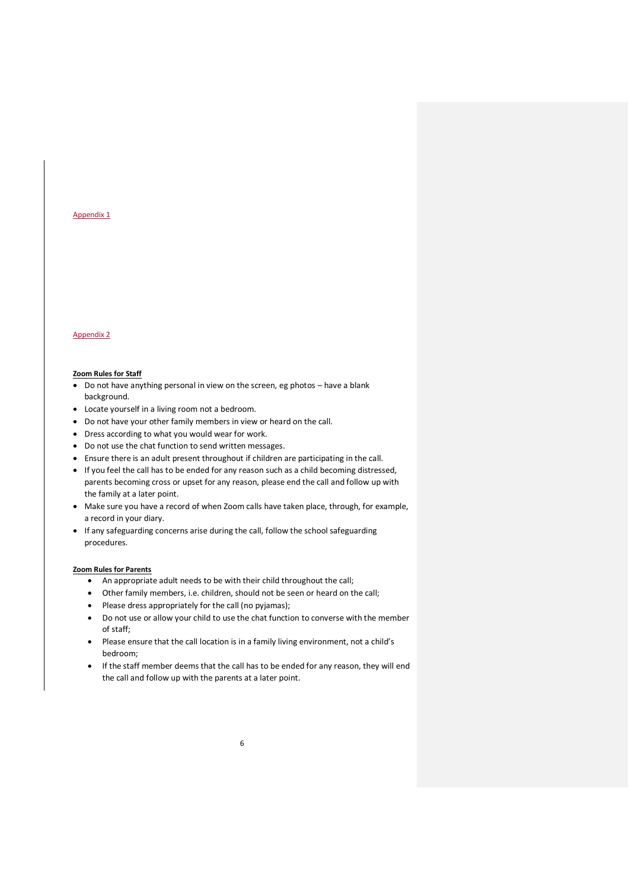#### Appendix 1

# Appendix 2

#### **Zoom Rules for Staff**

- Do not have anything personal in view on the screen, eg photos have a blank background.
- Locate yourself in a living room not a bedroom.
- Do not have your other family members in view or heard on the call.
- Dress according to what you would wear for work.
- Do not use the chat function to send written messages.
- Ensure there is an adult present throughout if children are participating in the call.
- If you feel the call has to be ended for any reason such as a child becoming distressed, parents becoming cross or upset for any reason, please end the call and follow up with the family at a later point.
- Make sure you have a record of when Zoom calls have taken place, through, for example, a record in your diary.
- If any safeguarding concerns arise during the call, follow the school safeguarding procedures.

#### **Zoom Rules for Parents**

- An appropriate adult needs to be with their child throughout the call;
- Other family members, i.e. children, should not be seen or heard on the call;
- Please dress appropriately for the call (no pyjamas);
- Do not use or allow your child to use the chat function to converse with the member of staff;
- Please ensure that the call location is in a family living environment, not a child's bedroom;
- If the staff member deems that the call has to be ended for any reason, they will end the call and follow up with the parents at a later point.